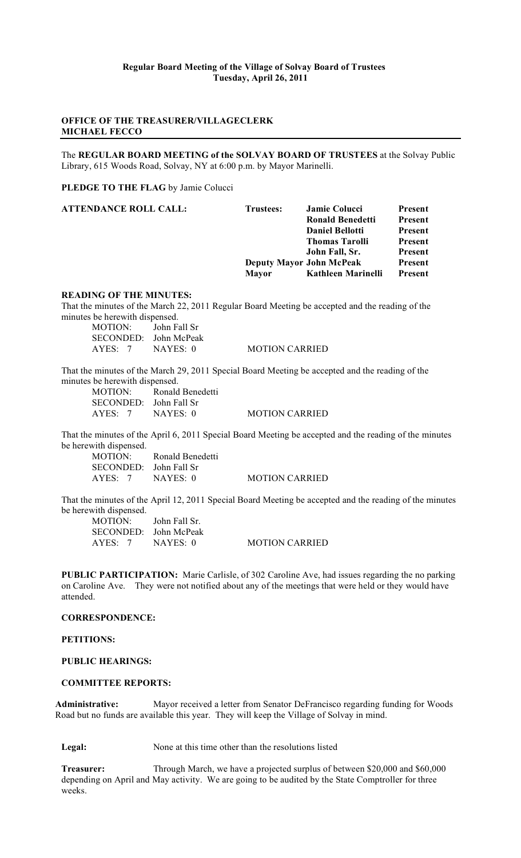# **OFFICE OF THE TREASURER/VILLAGECLERK MICHAEL FECCO**

The **REGULAR BOARD MEETING of the SOLVAY BOARD OF TRUSTEES** at the Solvay Public Library, 615 Woods Road, Solvay, NY at 6:00 p.m. by Mayor Marinelli.

**PLEDGE TO THE FLAG** by Jamie Colucci

| <b>Trustees:</b> | <b>Jamie Colucci</b>   | Present                         |
|------------------|------------------------|---------------------------------|
|                  | Ronald Benedetti       | <b>Present</b>                  |
|                  | <b>Daniel Bellotti</b> | Present                         |
|                  | <b>Thomas Tarolli</b>  | Present                         |
|                  | John Fall, Sr.         | <b>Present</b>                  |
|                  |                        | <b>Present</b>                  |
| <b>Mayor</b>     | Kathleen Marinelli     | Present                         |
|                  |                        | <b>Deputy Mayor John McPeak</b> |

### **READING OF THE MINUTES:**

That the minutes of the March 22, 2011 Regular Board Meeting be accepted and the reading of the minutes be herewith dispensed.

MOTION: John Fall Sr SECONDED: John McPeak AYES: 7 NAYES: 0 MOTION CARRIED

That the minutes of the March 29, 2011 Special Board Meeting be accepted and the reading of the minutes be herewith dispensed.

| MOTION:                | Ronald Benedetti |                       |
|------------------------|------------------|-----------------------|
| SECONDED: John Fall Sr |                  |                       |
| AYES: 7                | NAYES: 0         | <b>MOTION CARRIED</b> |

That the minutes of the April 6, 2011 Special Board Meeting be accepted and the reading of the minutes be herewith dispensed.<br>MOTION:

Ronald Benedetti SECONDED: John Fall Sr AYES: 7 NAYES: 0 MOTION CARRIED

That the minutes of the April 12, 2011 Special Board Meeting be accepted and the reading of the minutes be herewith dispensed.

MOTION: John Fall Sr. SECONDED: John McPeak AYES: 7 NAYES: 0 MOTION CARRIED

**PUBLIC PARTICIPATION:** Marie Carlisle, of 302 Caroline Ave, had issues regarding the no parking on Caroline Ave. They were not notified about any of the meetings that were held or they would have attended.

### **CORRESPONDENCE:**

**PETITIONS:**

### **PUBLIC HEARINGS:**

### **COMMITTEE REPORTS:**

**Administrative:** Mayor received a letter from Senator DeFrancisco regarding funding for Woods Road but no funds are available this year. They will keep the Village of Solvay in mind.

Legal: None at this time other than the resolutions listed

**Treasurer:** Through March, we have a projected surplus of between \$20,000 and \$60,000 depending on April and May activity. We are going to be audited by the State Comptroller for three weeks.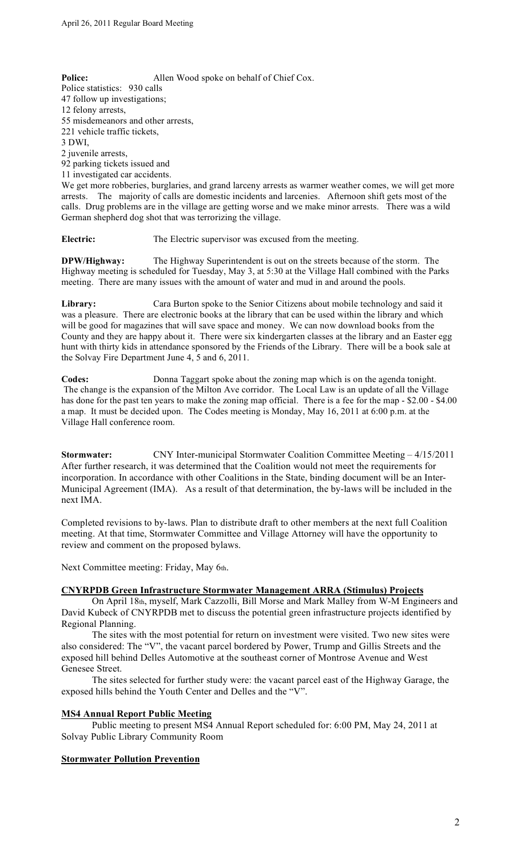**Police:** Allen Wood spoke on behalf of Chief Cox. Police statistics: 930 calls 47 follow up investigations; 12 felony arrests, 55 misdemeanors and other arrests, 221 vehicle traffic tickets, 3 DWI, 2 juvenile arrests, 92 parking tickets issued and 11 investigated car accidents. We get more robberies, burglaries, and grand larceny arrests as warmer weather comes, we will get more arrests. The majority of calls are domestic incidents and larcenies. Afternoon shift gets most of the calls. Drug problems are in the village are getting worse and we make minor arrests. There was a wild German shepherd dog shot that was terrorizing the village.

**Electric:** The Electric supervisor was excused from the meeting.

**DPW/Highway:** The Highway Superintendent is out on the streets because of the storm. The Highway meeting is scheduled for Tuesday, May 3, at 5:30 at the Village Hall combined with the Parks meeting. There are many issues with the amount of water and mud in and around the pools.

**Library:** Cara Burton spoke to the Senior Citizens about mobile technology and said it was a pleasure. There are electronic books at the library that can be used within the library and which will be good for magazines that will save space and money. We can now download books from the County and they are happy about it. There were six kindergarten classes at the library and an Easter egg hunt with thirty kids in attendance sponsored by the Friends of the Library. There will be a book sale at the Solvay Fire Department June 4, 5 and 6, 2011.

**Codes:** Donna Taggart spoke about the zoning map which is on the agenda tonight. The change is the expansion of the Milton Ave corridor. The Local Law is an update of all the Village has done for the past ten years to make the zoning map official. There is a fee for the map - \$2.00 - \$4.00 a map. It must be decided upon. The Codes meeting is Monday, May 16, 2011 at 6:00 p.m. at the Village Hall conference room.

**Stormwater:** CNY Inter-municipal Stormwater Coalition Committee Meeting – 4/15/2011 After further research, it was determined that the Coalition would not meet the requirements for incorporation. In accordance with other Coalitions in the State, binding document will be an Inter-Municipal Agreement (IMA). As a result of that determination, the by-laws will be included in the next IMA.

Completed revisions to by-laws. Plan to distribute draft to other members at the next full Coalition meeting. At that time, Stormwater Committee and Village Attorney will have the opportunity to review and comment on the proposed bylaws.

Next Committee meeting: Friday, May 6th.

# **CNYRPDB Green Infrastructure Stormwater Management ARRA (Stimulus) Projects**

On April 18th, myself, Mark Cazzolli, Bill Morse and Mark Malley from W-M Engineers and David Kubeck of CNYRPDB met to discuss the potential green infrastructure projects identified by Regional Planning.

The sites with the most potential for return on investment were visited. Two new sites were also considered: The "V", the vacant parcel bordered by Power, Trump and Gillis Streets and the exposed hill behind Delles Automotive at the southeast corner of Montrose Avenue and West Genesee Street.

The sites selected for further study were: the vacant parcel east of the Highway Garage, the exposed hills behind the Youth Center and Delles and the "V".

# **MS4 Annual Report Public Meeting**

Public meeting to present MS4 Annual Report scheduled for: 6:00 PM, May 24, 2011 at Solvay Public Library Community Room

# **Stormwater Pollution Prevention**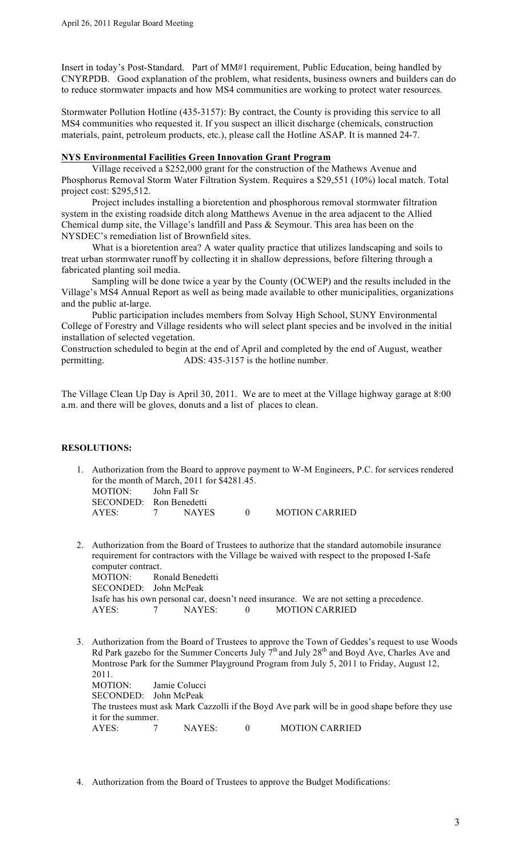Insert in today's Post-Standard. Part of MM#1 requirement, Public Education, being handled by CNYRPDB. Good explanation of the problem, what residents, business owners and builders can do to reduce stormwater impacts and how MS4 communities are working to protect water resources.

Stormwater Pollution Hotline (435-3157): By contract, the County is providing this service to all MS4 communities who requested it. If you suspect an illicit discharge (chemicals, construction materials, paint, petroleum products, etc.), please call the Hotline ASAP. It is manned 24-7.

# **NYS Environmental Facilities Green Innovation Grant Program**

Village received a \$252,000 grant for the construction of the Mathews Avenue and Phosphorus Removal Storm Water Filtration System. Requires a \$29,551 (10%) local match. Total project cost: \$295,512.

Project includes installing a bioretention and phosphorous removal stormwater filtration system in the existing roadside ditch along Matthews Avenue in the area adjacent to the Allied Chemical dump site, the Village's landfill and Pass & Seymour. This area has been on the NYSDEC's remediation list of Brownfield sites.

What is a bioretention area? A water quality practice that utilizes landscaping and soils to treat urban stormwater runoff by collecting it in shallow depressions, before filtering through a fabricated planting soil media.

Sampling will be done twice a year by the County (OCWEP) and the results included in the Village's MS4 Annual Report as well as being made available to other municipalities, organizations and the public at-large.

Public participation includes members from Solvay High School, SUNY Environmental College of Forestry and Village residents who will select plant species and be involved in the initial installation of selected vegetation.

Construction scheduled to begin at the end of April and completed by the end of August, weather permitting. ADS: 435-3157 is the hotline number.

The Village Clean Up Day is April 30, 2011. We are to meet at the Village highway garage at 8:00 a.m. and there will be gloves, donuts and a list of places to clean.

# **RESOLUTIONS:**

1. Authorization from the Board to approve payment to W-M Engineers, P.C. for services rendered for the month of March, 2011 for \$4281.45. MOTION: John Fall Sr SECONDED: Ron Benedetti

| AYES: | <b>NAYES</b> | <b>MOTION CARRIED</b> |
|-------|--------------|-----------------------|
|       |              |                       |

- 2. Authorization from the Board of Trustees to authorize that the standard automobile insurance requirement for contractors with the Village be waived with respect to the proposed I-Safe computer contract. MOTION: Ronald Benedetti SECONDED: John McPeak Isafe has his own personal car, doesn't need insurance. We are not setting a precedence. AYES:  $7$  NAYES: 0 MOTION CARRIED
- 3. Authorization from the Board of Trustees to approve the Town of Geddes's request to use Woods Rd Park gazebo for the Summer Concerts July  $7<sup>th</sup>$  and July 28<sup>th</sup> and Boyd Ave, Charles Ave and Montrose Park for the Summer Playground Program from July 5, 2011 to Friday, August 12, 2011. MOTION: Jamie Colucci SECONDED: John McPeak The trustees must ask Mark Cazzolli if the Boyd Ave park will be in good shape before they use it for the summer. AYES: 7 NAYES: 0 MOTION CARRIED
- 4. Authorization from the Board of Trustees to approve the Budget Modifications: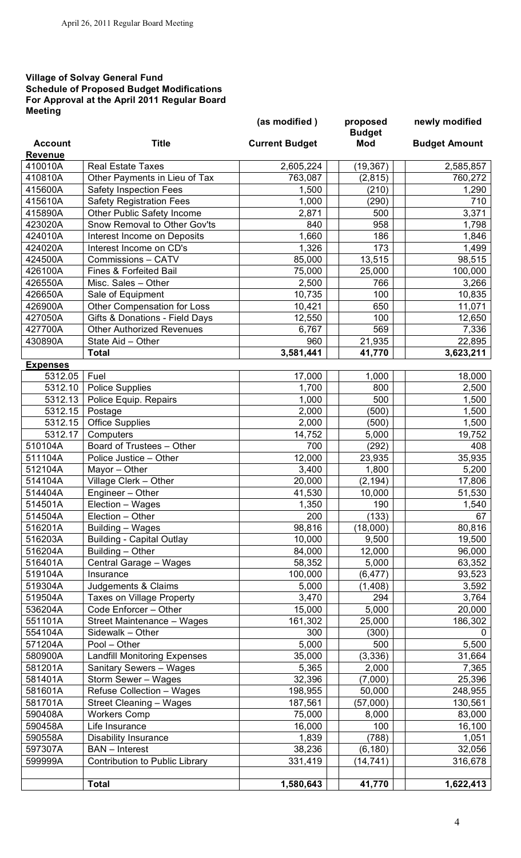# **Village of Solvay General Fund Schedule of Proposed Budget Modifications For Approval at the April 2011 Regular Board Meeting**

|                 |                                       | (as modified)         | proposed<br><b>Budget</b> | newly modified       |
|-----------------|---------------------------------------|-----------------------|---------------------------|----------------------|
| <b>Account</b>  | <b>Title</b>                          | <b>Current Budget</b> | <b>Mod</b>                | <b>Budget Amount</b> |
| <b>Revenue</b>  |                                       |                       |                           |                      |
| 410010A         | <b>Real Estate Taxes</b>              | 2,605,224             | (19, 367)                 | 2,585,857            |
| 410810A         | Other Payments in Lieu of Tax         | 763,087               | (2, 815)                  | 760,272              |
| 415600A         | <b>Safety Inspection Fees</b>         | 1,500                 | (210)                     | 1,290                |
| 415610A         | <b>Safety Registration Fees</b>       | 1,000                 | (290)                     | 710                  |
| 415890A         | Other Public Safety Income            | 2,871                 | 500                       | 3,371                |
| 423020A         | Snow Removal to Other Gov'ts          | 840                   | 958                       | 1,798                |
| 424010A         | Interest Income on Deposits           | 1,660                 | 186                       | 1,846                |
| 424020A         | Interest Income on CD's               | 1,326                 | 173                       | 1,499                |
| 424500A         | Commissions - CATV                    | 85,000                | 13,515                    | 98,515               |
| 426100A         | <b>Fines &amp; Forfeited Bail</b>     | 75,000                | 25,000                    | 100,000              |
| 426550A         | Misc. Sales - Other                   | 2,500                 | 766                       | 3,266                |
| 426650A         | Sale of Equipment                     | 10,735                | 100                       | 10,835               |
| 426900A         | Other Compensation for Loss           | 10,421                | 650                       | 11,071               |
| 427050A         | Gifts & Donations - Field Days        | 12,550                | 100                       | 12,650               |
| 427700A         | <b>Other Authorized Revenues</b>      | 6,767                 | 569                       | 7,336                |
| 430890A         | State Aid - Other                     | 960                   | 21,935                    | 22,895               |
|                 | <b>Total</b>                          | 3,581,441             | 41,770                    | 3,623,211            |
| <b>Expenses</b> |                                       |                       |                           |                      |
| 5312.05         | Fuel                                  | 17,000                | 1,000                     | 18,000               |
| 5312.10         | <b>Police Supplies</b>                | 1,700                 | 800                       | 2,500                |
| 5312.13         | Police Equip. Repairs                 | 1,000                 | 500                       | 1,500                |
| 5312.15         | Postage                               | 2,000                 | (500)                     | 1,500                |
| 5312.15         | <b>Office Supplies</b>                | 2,000                 | (500)                     | 1,500                |
| 5312.17         | Computers                             | 14,752                | 5,000                     | 19,752               |
| 510104A         | Board of Trustees - Other             | 700                   | (292)                     | 408                  |
| 511104A         | Police Justice - Other                | 12,000                | 23,935                    | 35,935               |
| 512104A         | Mayor - Other                         | 3,400                 | 1,800                     | 5,200                |
| 514104A         | Village Clerk - Other                 | 20,000                | (2, 194)                  | 17,806               |
| 514404A         | Engineer - Other                      | 41,530                | 10,000                    | 51,530               |
|                 |                                       |                       |                           |                      |
| 514501A         | Election - Wages                      | 1,350                 | 190                       | 1,540                |
| 514504A         | Election - Other                      | 200                   | (133)                     | 67                   |
| 516201A         | Building - Wages                      | 98,816                | (18,000)                  | 80,816               |
| 516203A         | <b>Building - Capital Outlay</b>      | 10,000                | 9,500                     | 19,500               |
| 516204A         | Building - Other                      | 84,000                | 12,000                    | 96,000               |
| 516401A         | Central Garage - Wages                | 58,352                | 5,000                     | 63,352               |
| 519104A         | Insurance                             | 100,000               | (6, 477)                  | 93,523               |
| 519304A         | Judgements & Claims                   | 5,000                 | (1,408)                   | 3,592                |
| 519504A         | <b>Taxes on Village Property</b>      | 3,470                 | 294                       | 3,764                |
| 536204A         | Code Enforcer - Other                 | 15,000                | 5,000                     | 20,000               |
| 551101A         | Street Maintenance - Wages            | 161,302               | 25,000                    | 186,302              |
| 554104A         | Sidewalk - Other                      | 300                   | (300)                     | 0                    |
| 571204A         | Pool - Other                          | 5,000                 | 500                       | 5,500                |
| 580900A         | <b>Landfill Monitoring Expenses</b>   | 35,000                | (3, 336)                  | 31,664               |
| 581201A         | <b>Sanitary Sewers - Wages</b>        | 5,365                 | 2,000                     | 7,365                |
| 581401A         | Storm Sewer - Wages                   | 32,396                | (7,000)                   | 25,396               |
| 581601A         | Refuse Collection - Wages             | 198,955               | 50,000                    | 248,955              |
| 581701A         | <b>Street Cleaning - Wages</b>        | 187,561               | (57,000)                  | 130,561              |
| 590408A         | <b>Workers Comp</b>                   | 75,000                | 8,000                     | 83,000               |
| 590458A         | Life Insurance                        | 16,000                | 100                       | 16,100               |
| 590558A         | Disability Insurance                  | 1,839                 | (788)                     | 1,051                |
| 597307A         | <b>BAN</b> - Interest                 | 38,236                | (6, 180)                  | 32,056               |
| 599999A         | <b>Contribution to Public Library</b> | 331,419               | (14, 741)                 | 316,678              |
|                 |                                       |                       |                           |                      |
|                 | <b>Total</b>                          | 1,580,643             | 41,770                    | 1,622,413            |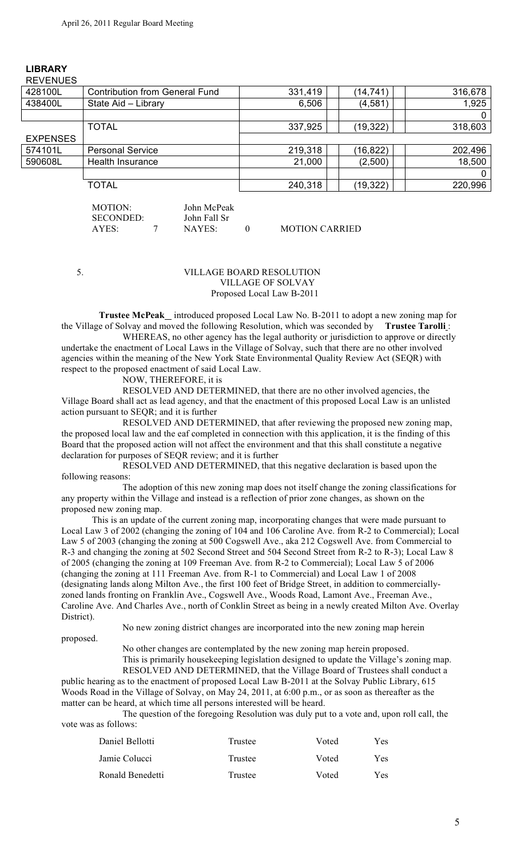| <b>REVENUES</b> |                                       |         |           |         |
|-----------------|---------------------------------------|---------|-----------|---------|
| 428100L         | <b>Contribution from General Fund</b> | 331,419 | (14,741   | 316,678 |
| 438400L         | State Aid - Library                   | 6,506   | (4, 581)  | 1,925   |
|                 |                                       |         |           |         |
|                 | <b>TOTAL</b>                          | 337,925 | (19, 322) | 318,603 |
| <b>EXPENSES</b> |                                       |         |           |         |
| 574101L         | <b>Personal Service</b>               | 219,318 | (16, 822) | 202,496 |
| 590608L         | Health Insurance                      | 21,000  | (2,500)   | 18,500  |
|                 |                                       |         |           |         |
|                 | <b>TOTAL</b>                          | 240,318 | (19, 322) | 220,996 |

#### **LIBRARY** REVENUES

| MOTION:          | John McPeak  |                       |
|------------------|--------------|-----------------------|
| <b>SECONDED:</b> | John Fall Sr |                       |
| AYES:            | NAYES        | <b>MOTION CARRIED</b> |

### 5. VILLAGE BOARD RESOLUTION VILLAGE OF SOLVAY Proposed Local Law B-2011

 **Trustee McPeak** introduced proposed Local Law No. B-2011 to adopt a new zoning map for the Village of Solvay and moved the following Resolution, which was seconded by **Trustee Tarolli** :

WHEREAS, no other agency has the legal authority or jurisdiction to approve or directly undertake the enactment of Local Laws in the Village of Solvay, such that there are no other involved agencies within the meaning of the New York State Environmental Quality Review Act (SEQR) with respect to the proposed enactment of said Local Law.

NOW, THEREFORE, it is

RESOLVED AND DETERMINED, that there are no other involved agencies, the Village Board shall act as lead agency, and that the enactment of this proposed Local Law is an unlisted action pursuant to SEQR; and it is further

RESOLVED AND DETERMINED, that after reviewing the proposed new zoning map, the proposed local law and the eaf completed in connection with this application, it is the finding of this Board that the proposed action will not affect the environment and that this shall constitute a negative declaration for purposes of SEQR review; and it is further

RESOLVED AND DETERMINED, that this negative declaration is based upon the following reasons:

The adoption of this new zoning map does not itself change the zoning classifications for any property within the Village and instead is a reflection of prior zone changes, as shown on the proposed new zoning map.

This is an update of the current zoning map, incorporating changes that were made pursuant to Local Law 3 of 2002 (changing the zoning of 104 and 106 Caroline Ave. from R-2 to Commercial); Local Law 5 of 2003 (changing the zoning at 500 Cogswell Ave., aka 212 Cogswell Ave. from Commercial to R-3 and changing the zoning at 502 Second Street and 504 Second Street from R-2 to R-3); Local Law 8 of 2005 (changing the zoning at 109 Freeman Ave. from R-2 to Commercial); Local Law 5 of 2006 (changing the zoning at 111 Freeman Ave. from R-1 to Commercial) and Local Law 1 of 2008 (designating lands along Milton Ave., the first 100 feet of Bridge Street, in addition to commerciallyzoned lands fronting on Franklin Ave., Cogswell Ave., Woods Road, Lamont Ave., Freeman Ave., Caroline Ave. And Charles Ave., north of Conklin Street as being in a newly created Milton Ave. Overlay District).

proposed.

No new zoning district changes are incorporated into the new zoning map herein

No other changes are contemplated by the new zoning map herein proposed. This is primarily housekeeping legislation designed to update the Village's zoning map. RESOLVED AND DETERMINED, that the Village Board of Trustees shall conduct a public hearing as to the enactment of proposed Local Law B-2011 at the Solvay Public Library, 615

Woods Road in the Village of Solvay, on May 24, 2011, at 6:00 p.m., or as soon as thereafter as the matter can be heard, at which time all persons interested will be heard.

The question of the foregoing Resolution was duly put to a vote and, upon roll call, the vote was as follows:

| Daniel Bellotti  | Trustee | Voted | Yes. |
|------------------|---------|-------|------|
| Jamie Colucci    | Trustee | Voted | Yes. |
| Ronald Benedetti | Trustee | Voted | Yes. |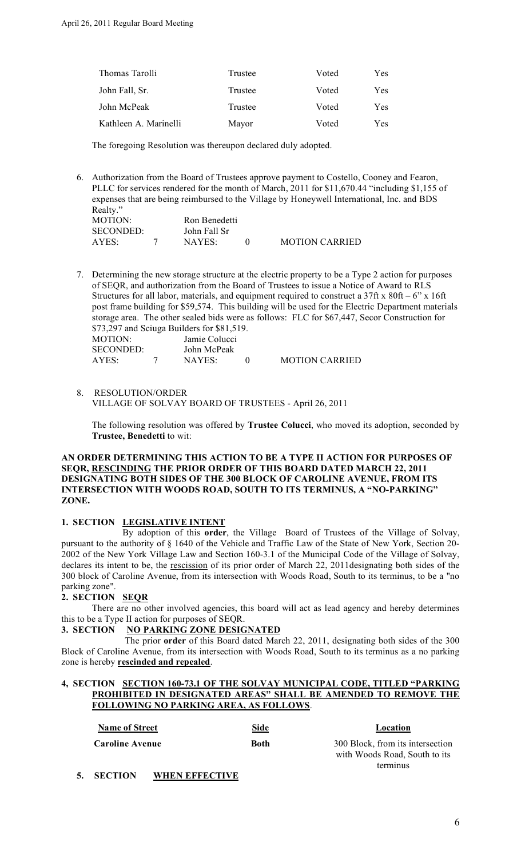| Trustee | Voted | Yes |
|---------|-------|-----|
| Trustee | Voted | Yes |
| Trustee | Voted | Yes |
| Mayor   | Voted | Yes |
|         |       |     |

The foregoing Resolution was thereupon declared duly adopted.

6. Authorization from the Board of Trustees approve payment to Costello, Cooney and Fearon, PLLC for services rendered for the month of March, 2011 for \$11,670.44 "including \$1,155 of expenses that are being reimbursed to the Village by Honeywell International, Inc. and BDS Realty." MOTION: Ron Benedetti SECONDED: John Fall Sr<br>AYES: 7 NAYES:

7. Determining the new storage structure at the electric property to be a Type 2 action for purposes of SEQR, and authorization from the Board of Trustees to issue a Notice of Award to RLS Structures for all labor, materials, and equipment required to construct a  $37$ ft x  $80$ ft – 6" x  $16$ ft post frame building for \$59,574. This building will be used for the Electric Department materials storage area. The other sealed bids were as follows: FLC for \$67,447, Secor Construction for \$73,297 and Sciuga Builders for \$81,519.  $MOTION$ 

| MUTIUN.   | Jaille Colucci |                       |
|-----------|----------------|-----------------------|
| SECONDED: | John McPeak    |                       |
| AYES:     | NAYES          | <b>MOTION CARRIED</b> |

AYES: 7 NAYES: 0 MOTION CARRIED

8. RESOLUTION/ORDER VILLAGE OF SOLVAY BOARD OF TRUSTEES - April 26, 2011

The following resolution was offered by **Trustee Colucci**, who moved its adoption, seconded by **Trustee, Benedetti** to wit:

# **AN ORDER DETERMINING THIS ACTION TO BE A TYPE II ACTION FOR PURPOSES OF SEQR, RESCINDING THE PRIOR ORDER OF THIS BOARD DATED MARCH 22, 2011 DESIGNATING BOTH SIDES OF THE 300 BLOCK OF CAROLINE AVENUE, FROM ITS INTERSECTION WITH WOODS ROAD, SOUTH TO ITS TERMINUS, A "NO-PARKING" ZONE.**

# **1. SECTION LEGISLATIVE INTENT**

By adoption of this **order**, the Village Board of Trustees of the Village of Solvay, pursuant to the authority of § 1640 of the Vehicle and Traffic Law of the State of New York, Section 20- 2002 of the New York Village Law and Section 160-3.1 of the Municipal Code of the Village of Solvay, declares its intent to be, the rescission of its prior order of March 22, 2011designating both sides of the 300 block of Caroline Avenue, from its intersection with Woods Road, South to its terminus, to be a "no parking zone".

# **2. SECTION SEQR**

There are no other involved agencies, this board will act as lead agency and hereby determines this to be a Type II action for purposes of SEQR.

# **3. SECTION NO PARKING ZONE DESIGNATED**

 The prior **order** of this Board dated March 22, 2011, designating both sides of the 300 Block of Caroline Avenue, from its intersection with Woods Road, South to its terminus as a no parking zone is hereby **rescinded and repealed**.

### **4, SECTION SECTION 160-73.1 OF THE SOLVAY MUNICIPAL CODE, TITLED "PARKING PROHIBITED IN DESIGNATED AREAS" SHALL BE AMENDED TO REMOVE THE FOLLOWING NO PARKING AREA, AS FOLLOWS**.

| <b>Name of Street</b>  | Side | Location                                                          |
|------------------------|------|-------------------------------------------------------------------|
| <b>Caroline Avenue</b> | Both | 300 Block, from its intersection<br>with Woods Road, South to its |
|                        |      | terminus                                                          |

# **5. SECTION WHEN EFFECTIVE**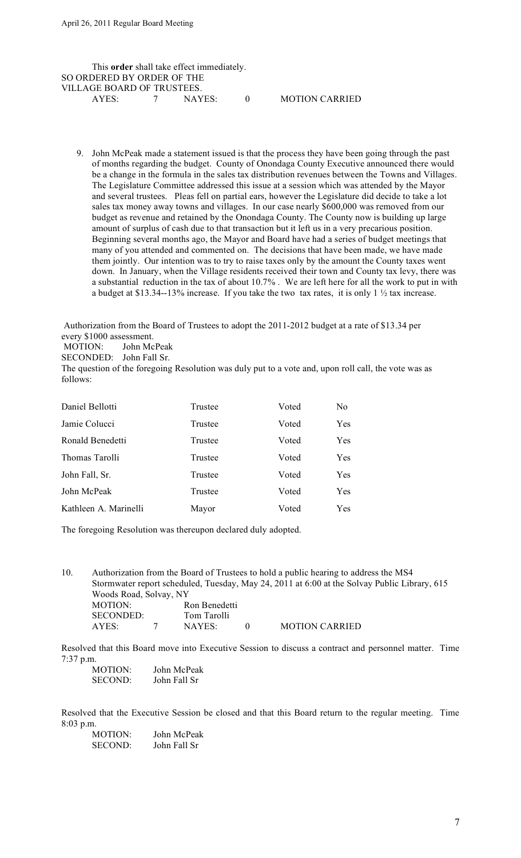This **order** shall take effect immediately. SO ORDERED BY ORDER OF THE VILLAGE BOARD OF TRUSTEES.<br>AYES: 7 NAYES: AYES: 7 NAYES: 0 MOTION CARRIED

9. John McPeak made a statement issued is that the process they have been going through the past of months regarding the budget. County of Onondaga County Executive announced there would be a change in the formula in the sales tax distribution revenues between the Towns and Villages. The Legislature Committee addressed this issue at a session which was attended by the Mayor and several trustees. Pleas fell on partial ears, however the Legislature did decide to take a lot sales tax money away towns and villages. In our case nearly \$600,000 was removed from our budget as revenue and retained by the Onondaga County. The County now is building up large amount of surplus of cash due to that transaction but it left us in a very precarious position. Beginning several months ago, the Mayor and Board have had a series of budget meetings that many of you attended and commented on. The decisions that have been made, we have made them jointly. Our intention was to try to raise taxes only by the amount the County taxes went down. In January, when the Village residents received their town and County tax levy, there was a substantial reduction in the tax of about 10.7% . We are left here for all the work to put in with a budget at \$13.34--13% increase. If you take the two tax rates, it is only 1 ½ tax increase.

Authorization from the Board of Trustees to adopt the 2011-2012 budget at a rate of \$13.34 per every \$1000 assessment.

MOTION: John McPeak

SECONDED: John Fall Sr.

The question of the foregoing Resolution was duly put to a vote and, upon roll call, the vote was as follows:

| Daniel Bellotti       | Trustee | Voted | No.        |
|-----------------------|---------|-------|------------|
| Jamie Colucci         | Trustee | Voted | Yes        |
| Ronald Benedetti      | Trustee | Voted | <b>Yes</b> |
| Thomas Tarolli        | Trustee | Voted | Yes        |
| John Fall, Sr.        | Trustee | Voted | <b>Yes</b> |
| John McPeak           | Trustee | Voted | Yes        |
| Kathleen A. Marinelli | Mayor   | Voted | Yes        |

The foregoing Resolution was thereupon declared duly adopted.

10. Authorization from the Board of Trustees to hold a public hearing to address the MS4 Stormwater report scheduled, Tuesday, May 24, 2011 at 6:00 at the Solvay Public Library, 615 Woods Road, Solvay, NY MOTION: Ron Benedetti SECONDED: Tom Tarolli AYES: 7 NAYES: 0 MOTION CARRIED

Resolved that this Board move into Executive Session to discuss a contract and personnel matter. Time 7:37 p.m.

MOTION: John McPeak SECOND: John Fall Sr

Resolved that the Executive Session be closed and that this Board return to the regular meeting. Time 8:03 p.m.

| MOTION:        | John McPeak  |
|----------------|--------------|
| <b>SECOND:</b> | John Fall Sr |